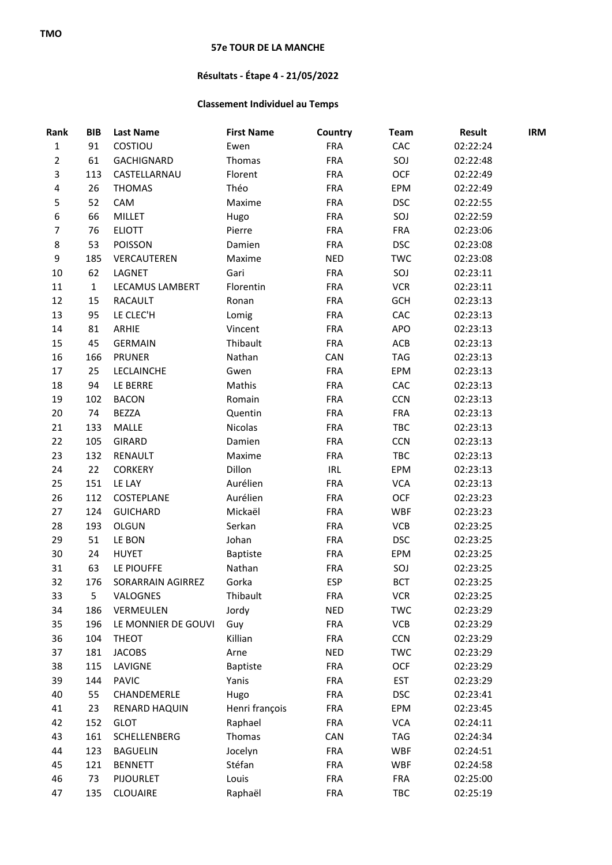## **57e TOUR DE LA MANCHE**

## **Résultats - Étape 4 - 21/05/2022**

## **Classement Individuel au Temps**

| Rank           | <b>BIB</b>   | <b>Last Name</b>    | <b>First Name</b> | Country    | <b>Team</b> | <b>Result</b> | <b>IRM</b> |
|----------------|--------------|---------------------|-------------------|------------|-------------|---------------|------------|
| $\mathbf 1$    | 91           | COSTIOU             | Ewen              | <b>FRA</b> | CAC         | 02:22:24      |            |
| $\overline{2}$ | 61           | GACHIGNARD          | Thomas            | <b>FRA</b> | SOJ         | 02:22:48      |            |
| 3              | 113          | CASTELLARNAU        | Florent           | <b>FRA</b> | OCF         | 02:22:49      |            |
| 4              | 26           | <b>THOMAS</b>       | Théo              | <b>FRA</b> | EPM         | 02:22:49      |            |
| 5              | 52           | CAM                 | Maxime            | <b>FRA</b> | <b>DSC</b>  | 02:22:55      |            |
| 6              | 66           | <b>MILLET</b>       | Hugo              | <b>FRA</b> | SOJ         | 02:22:59      |            |
| $\overline{7}$ | 76           | <b>ELIOTT</b>       | Pierre            | <b>FRA</b> | <b>FRA</b>  | 02:23:06      |            |
| 8              | 53           | POISSON             | Damien            | <b>FRA</b> | <b>DSC</b>  | 02:23:08      |            |
| 9              | 185          | VERCAUTEREN         | Maxime            | <b>NED</b> | <b>TWC</b>  | 02:23:08      |            |
| 10             | 62           | LAGNET              | Gari              | <b>FRA</b> | SOJ         | 02:23:11      |            |
| 11             | $\mathbf{1}$ | LECAMUS LAMBERT     | Florentin         | <b>FRA</b> | <b>VCR</b>  | 02:23:11      |            |
| 12             | 15           | <b>RACAULT</b>      | Ronan             | <b>FRA</b> | <b>GCH</b>  | 02:23:13      |            |
| 13             | 95           | LE CLEC'H           | Lomig             | <b>FRA</b> | CAC         | 02:23:13      |            |
| 14             | 81           | ARHIE               | Vincent           | <b>FRA</b> | APO         | 02:23:13      |            |
| 15             | 45           | <b>GERMAIN</b>      | Thibault          | <b>FRA</b> | ACB         | 02:23:13      |            |
| 16             | 166          | <b>PRUNER</b>       | Nathan            | CAN        | <b>TAG</b>  | 02:23:13      |            |
| 17             | 25           | LECLAINCHE          | Gwen              | <b>FRA</b> | EPM         | 02:23:13      |            |
| 18             | 94           | LE BERRE            | Mathis            | <b>FRA</b> | CAC         | 02:23:13      |            |
| 19             | 102          | <b>BACON</b>        | Romain            | <b>FRA</b> | <b>CCN</b>  | 02:23:13      |            |
| 20             | 74           | <b>BEZZA</b>        | Quentin           | <b>FRA</b> | <b>FRA</b>  | 02:23:13      |            |
| 21             | 133          | MALLE               | Nicolas           | <b>FRA</b> | TBC         | 02:23:13      |            |
| 22             | 105          | <b>GIRARD</b>       | Damien            | <b>FRA</b> | <b>CCN</b>  | 02:23:13      |            |
| 23             | 132          | RENAULT             | Maxime            | <b>FRA</b> | TBC         | 02:23:13      |            |
| 24             | 22           | <b>CORKERY</b>      | Dillon            | <b>IRL</b> | EPM         | 02:23:13      |            |
| 25             | 151          | LE LAY              | Aurélien          | <b>FRA</b> | <b>VCA</b>  | 02:23:13      |            |
| 26             | 112          | COSTEPLANE          | Aurélien          | <b>FRA</b> | OCF         | 02:23:23      |            |
| 27             | 124          | <b>GUICHARD</b>     | Mickaël           | <b>FRA</b> | <b>WBF</b>  | 02:23:23      |            |
| 28             | 193          | <b>OLGUN</b>        | Serkan            | <b>FRA</b> | VCB         | 02:23:25      |            |
| 29             | 51           | LE BON              | Johan             | <b>FRA</b> | <b>DSC</b>  | 02:23:25      |            |
| 30             | 24           | <b>HUYET</b>        | Baptiste          | <b>FRA</b> | EPM         | 02:23:25      |            |
| 31             | 63           | LE PIOUFFE          | Nathan            | <b>FRA</b> | SOJ         | 02:23:25      |            |
| 32             | 176          | SORARRAIN AGIRREZ   | Gorka             | <b>ESP</b> | <b>BCT</b>  | 02:23:25      |            |
| 33             | 5            | VALOGNES            | Thibault          | <b>FRA</b> | <b>VCR</b>  | 02:23:25      |            |
| 34             | 186          | VERMEULEN           | Jordy             | <b>NED</b> | <b>TWC</b>  | 02:23:29      |            |
| 35             | 196          | LE MONNIER DE GOUVI | Guy               | <b>FRA</b> | VCB         | 02:23:29      |            |
| 36             | 104          | <b>THEOT</b>        | Killian           | <b>FRA</b> | <b>CCN</b>  | 02:23:29      |            |
| 37             | 181          | <b>JACOBS</b>       | Arne              | <b>NED</b> | <b>TWC</b>  | 02:23:29      |            |
| 38             | 115          | LAVIGNE             | <b>Baptiste</b>   | <b>FRA</b> | <b>OCF</b>  | 02:23:29      |            |
| 39             | 144          | <b>PAVIC</b>        | Yanis             | <b>FRA</b> | <b>EST</b>  | 02:23:29      |            |
| 40             | 55           | CHANDEMERLE         | Hugo              | <b>FRA</b> | <b>DSC</b>  | 02:23:41      |            |
| 41             | 23           | RENARD HAQUIN       | Henri françois    | FRA        | EPM         | 02:23:45      |            |
| 42             | 152          | <b>GLOT</b>         | Raphael           | <b>FRA</b> | <b>VCA</b>  | 02:24:11      |            |
| 43             | 161          | SCHELLENBERG        | Thomas            | CAN        | <b>TAG</b>  | 02:24:34      |            |
| 44             | 123          | <b>BAGUELIN</b>     | Jocelyn           | <b>FRA</b> | <b>WBF</b>  | 02:24:51      |            |
| 45             | 121          | <b>BENNETT</b>      | Stéfan            | <b>FRA</b> | <b>WBF</b>  | 02:24:58      |            |
| 46             | 73           | <b>PIJOURLET</b>    | Louis             | <b>FRA</b> | <b>FRA</b>  | 02:25:00      |            |
| 47             | 135          | CLOUAIRE            | Raphaël           | <b>FRA</b> | TBC         | 02:25:19      |            |
|                |              |                     |                   |            |             |               |            |